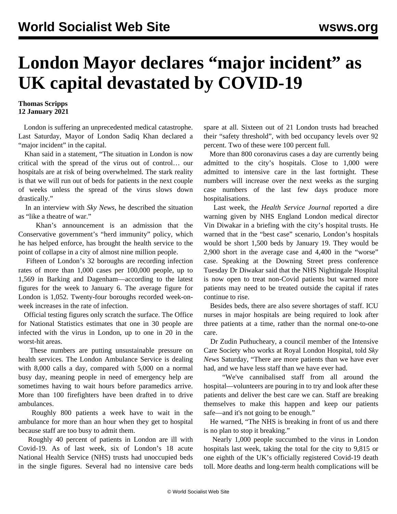## **London Mayor declares "major incident" as UK capital devastated by COVID-19**

## **Thomas Scripps 12 January 2021**

 London is suffering an unprecedented medical catastrophe. Last Saturday, Mayor of London Sadiq Khan declared a "major incident" in the capital.

 Khan said in a statement, "The situation in London is now critical with the spread of the virus out of control… our hospitals are at risk of being overwhelmed. The stark reality is that we will run out of beds for patients in the next couple of weeks unless the spread of the virus slows down drastically."

 In an interview with *Sky News*, he described the situation as "like a theatre of war."

 Khan's announcement is an admission that the Conservative government's "herd immunity" policy, which he has helped enforce, has brought the health service to the point of collapse in a city of almost nine million people.

 Fifteen of London's 32 boroughs are recording infection rates of more than 1,000 cases per 100,000 people, up to 1,569 in Barking and Dagenham—according to the latest figures for the week to January 6. The average figure for London is 1,052. Twenty-four boroughs recorded week-onweek increases in the rate of infection.

 Official testing figures only scratch the surface. The Office for National Statistics estimates that one in 30 people are infected with the virus in London, up to one in 20 in the worst-hit areas.

 These numbers are putting unsustainable pressure on health services. The London Ambulance Service is dealing with 8,000 calls a day, compared with 5,000 on a normal busy day, meaning people in need of emergency help are sometimes having to wait hours before paramedics arrive. More than 100 firefighters have been drafted in to drive ambulances.

 Roughly 800 patients a week have to wait in the ambulance for more than an hour when they get to hospital because staff are too busy to admit them.

 Roughly 40 percent of patients in London are ill with Covid-19. As of last week, six of London's 18 acute National Health Service (NHS) trusts had unoccupied beds in the single figures. Several had no intensive care beds

spare at all. Sixteen out of 21 London trusts had breached their "safety threshold", with bed occupancy levels over 92 percent. Two of these were 100 percent full.

 More than 800 coronavirus cases a day are currently being admitted to the city's hospitals. Close to 1,000 were admitted to intensive care in the last fortnight. These numbers will increase over the next weeks as the surging case numbers of the last few days produce more hospitalisations.

 Last week, the *Health Service Journal* reported a dire warning given by NHS England London medical director Vin Diwakar in a briefing with the city's hospital trusts. He warned that in the "best case" scenario, London's hospitals would be short 1,500 beds by January 19. They would be 2,900 short in the average case and 4,400 in the "worse" case. Speaking at the Downing Street press conference Tuesday Dr Diwakar said that the NHS Nightingale Hospital is now open to treat non-Covid patients but warned more patients may need to be treated outside the capital if rates continue to rise.

 Besides beds, there are also severe shortages of staff. ICU nurses in major hospitals are being required to look after three patients at a time, rather than the normal one-to-one care.

 Dr Zudin Puthucheary, a council member of the Intensive Care Society who works at Royal London Hospital, told *Sky News* Saturday, "There are more patients than we have ever had, and we have less staff than we have ever had.

 "We've cannibalised staff from all around the hospital—volunteers are pouring in to try and look after these patients and deliver the best care we can. Staff are breaking themselves to make this happen and keep our patients safe—and it's not going to be enough."

 He warned, "The NHS is breaking in front of us and there is no plan to stop it breaking."

 Nearly 1,000 people succumbed to the virus in London hospitals last week, taking the total for the city to 9,815 or one eighth of the UK's officially registered Covid-19 death toll. More deaths and long-term health complications will be